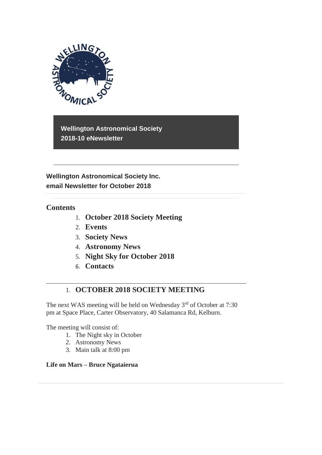

**Wellington Astronomical Society 2018-10 eNewsletter**

**Wellington Astronomical Society Inc. email Newsletter for October 2018** 

## **Contents**

- 1. **October 2018 Society Meeting**
- 2. **Events**
- 3. **Society News**
- 4. **Astronomy News**
- 5. **Night Sky for October 2018**
- 6. **Contacts**

# 1. **OCTOBER 2018 SOCIETY MEETING**

The next WAS meeting will be held on Wednesday  $3<sup>rd</sup>$  of October at 7:30 pm at Space Place, Carter Observatory, 40 Salamanca Rd, Kelburn.

The meeting will consist of:

- 1. The Night sky in October
- 2. Astronomy News
- 3. Main talk at 8:00 pm

## **Life on Mars – Bruce Ngataierua**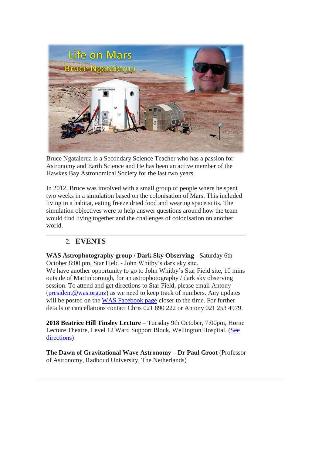

Bruce Ngataierua is a Secondary Science Teacher who has a passion for Astronomy and Earth Science and He has been an active member of the Hawkes Bay Astronomical Society for the last two years.

In 2012, Bruce was involved with a small group of people where he spent two weeks in a simulation based on the colonisation of Mars. This included living in a habitat, eating freeze dried food and wearing space suits. The simulation objectives were to help answer questions around how the team would find living together and the challenges of colonisation on another world.

# 2. **EVENTS**

**WAS Astrophotography group / Dark Sky Observing** - Saturday 6th October 8:00 pm, Star Field - John Whitby's dark sky site. We have another opportunity to go to John Whitby's Star Field site, 10 mins outside of Martinborough, for an astrophotography / dark sky observing session. To attend and get directions to Star Field, please email Antony [\(president@was.org.nz\)](mailto:president@was.org.nz) as we need to keep track of numbers. Any updates will be posted on the [WAS Facebook page](https://www.facebook.com/WellingtonAstronomicalSociety/) closer to the time. For further details or cancellations contact Chris 021 890 222 or Antony 021 253 4979.

**2018 Beatrice Hill Tinsley Lecture** – Tuesday 9th October, 7:00pm, Horne Lecture Theatre, Level 12 Ward Support Block, Wellington Hospital. [\(See](https://www.ccdhb.org.nz/working-with-us/nursing-and-midwifery-workforce-development/preceptorship-and-supervision/detailed-map-instructions-to-level-12-wsb.pdf)  [directions\)](https://www.ccdhb.org.nz/working-with-us/nursing-and-midwifery-workforce-development/preceptorship-and-supervision/detailed-map-instructions-to-level-12-wsb.pdf)

**The Dawn of Gravitational Wave Astronomy – Dr Paul Groot** (Professor of Astronomy, Radboud University, The Netherlands)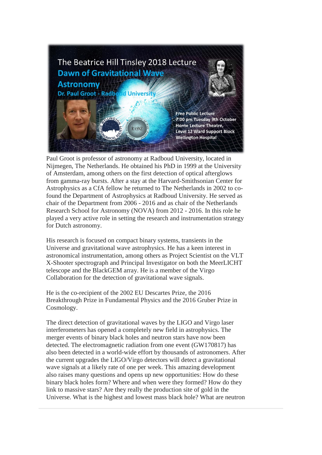

Paul Groot is professor of astronomy at Radboud University, located in Nijmegen, The Netherlands. He obtained his PhD in 1999 at the University of Amsterdam, among others on the first detection of optical afterglows from gamma-ray bursts. After a stay at the Harvard-Smithsonian Center for Astrophysics as a CfA fellow he returned to The Netherlands in 2002 to cofound the Department of Astrophysics at Radboud University. He served as chair of the Department from 2006 - 2016 and as chair of the Netherlands Research School for Astronomy (NOVA) from 2012 - 2016. In this role he played a very active role in setting the research and instrumentation strategy for Dutch astronomy.

His research is focused on compact binary systems, transients in the Universe and gravitational wave astrophysics. He has a keen interest in astronomical instrumentation, among others as Project Scientist on the VLT X-Shooter spectrograph and Principal Investigator on both the MeerLICHT telescope and the BlackGEM array. He is a member of the Virgo Collaboration for the detection of gravitational wave signals.

He is the co-recipient of the 2002 EU Descartes Prize, the 2016 Breakthrough Prize in Fundamental Physics and the 2016 Gruber Prize in Cosmology.

The direct detection of gravitational waves by the LIGO and Virgo laser interferometers has opened a completely new field in astrophysics. The merger events of binary black holes and neutron stars have now been detected. The electromagnetic radiation from one event (GW170817) has also been detected in a world-wide effort by thousands of astronomers. After the current upgrades the LIGO/Virgo detectors will detect a gravitational wave signals at a likely rate of one per week. This amazing development also raises many questions and opens up new opportunities: How do these binary black holes form? Where and when were they formed? How do they link to massive stars? Are they really the production site of gold in the Universe. What is the highest and lowest mass black hole? What are neutron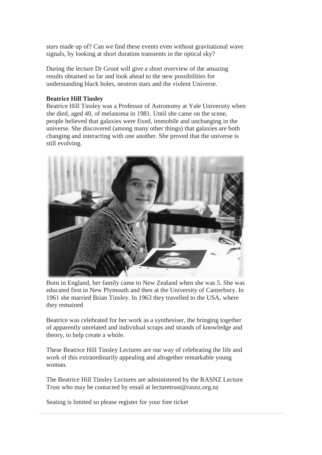stars made up of? Can we find these events even without gravitational wave signals, by looking at short duration transients in the optical sky?

During the lecture Dr Groot will give a short overview of the amazing results obtained so far and look ahead to the new possibilities for understanding black holes, neutron stars and the violent Universe.

#### **Beatrice Hill Tinsley**

Beatrice Hill Tinsley was a Professor of Astronomy at Yale University when she died, aged 40, of melanoma in 1981. Until she came on the scene, people believed that galaxies were fixed, immobile and unchanging in the universe. She discovered (among many other things) that galaxies are both changing and interacting with one another. She proved that the universe is still evolving.



Born in England, her family came to New Zealand when she was 5. She was educated first in New Plymouth and then at the University of Canterbury. In 1961 she married Brian Tinsley. In 1963 they travelled to the USA, where they remained

Beatrice was celebrated for her work as a synthesiser, the bringing together of apparently unrelated and individual scraps and strands of knowledge and theory, to help create a whole.

These Beatrice Hill Tinsley Lectures are our way of celebrating the life and work of this extraordinarily appealing and altogether remarkable young woman.

The Beatrice Hill Tinsley Lectures are administered by the RASNZ Lecture Trust who may be contacted by email at lecturetrust@rasnz.org.nz

Seating is limited so please register for your free ticket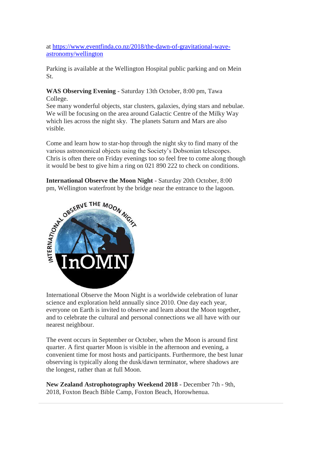at [https://www.eventfinda.co.nz/2018/the-dawn-of-gravitational-wave](https://www.eventfinda.co.nz/2018/the-dawn-of-gravitational-wave-astronomy/wellington)[astronomy/wellington](https://www.eventfinda.co.nz/2018/the-dawn-of-gravitational-wave-astronomy/wellington)

Parking is available at the Wellington Hospital public parking and on Mein St.

**WAS Observing Evening** - Saturday 13th October, 8:00 pm, Tawa College.

See many wonderful objects, star clusters, galaxies, dying stars and nebulae. We will be focusing on the area around Galactic Centre of the Milky Way which lies across the night sky. The planets Saturn and Mars are also visible.

Come and learn how to star-hop through the night sky to find many of the various astronomical objects using the Society's Dobsonian telescopes. Chris is often there on Friday evenings too so feel free to come along though it would be best to give him a ring on 021 890 222 to check on conditions.

pm, Wellington waterfront by the bridge near the entrance to the lagoon.



International Observe the Moon Night is a worldwide celebration of lunar science and exploration held annually since 2010. One day each year, everyone on Earth is invited to observe and learn about the Moon together, and to celebrate the cultural and personal connections we all have with our nearest neighbour.

The event occurs in September or October, when the Moon is around first quarter. A first quarter Moon is visible in the afternoon and evening, a convenient time for most hosts and participants. Furthermore, the best lunar observing is typically along the dusk/dawn terminator, where shadows are the longest, rather than at full Moon.

**New Zealand Astrophotography Weekend 2018 -** December 7th - 9th, 2018, Foxton Beach Bible Camp, Foxton Beach, Horowhenua.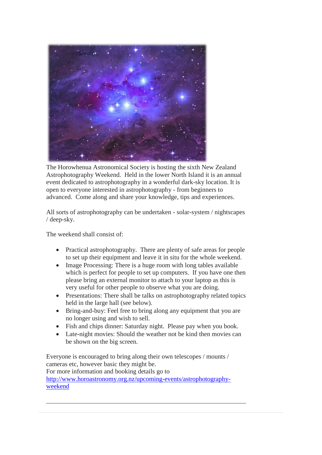

The Horowhenua Astronomical Society is hosting the sixth New Zealand Astrophotography Weekend. Held in the lower North Island it is an annual event dedicated to astrophotography in a wonderful dark-sky location. It is open to everyone interested in astrophotography - from beginners to advanced. Come along and share your knowledge, tips and experiences.

All sorts of astrophotography can be undertaken - solar-system / nightscapes / deep-sky.

The weekend shall consist of:

- Practical astrophotography. There are plenty of safe areas for people to set up their equipment and leave it in situ for the whole weekend.
- Image Processing: There is a huge room with long tables available which is perfect for people to set up computers. If you have one then please bring an external monitor to attach to your laptop as this is very useful for other people to observe what you are doing.
- Presentations: There shall be talks on astrophotography related topics held in the large hall (see below).
- Bring-and-buy: Feel free to bring along any equipment that you are no longer using and wish to sell.
- Fish and chips dinner: Saturday night. Please pay when you book.
- Late-night movies: Should the weather not be kind then movies can be shown on the big screen.

Everyone is encouraged to bring along their own telescopes / mounts / cameras etc, however basic they might be. For more information and booking details go to [http://www.horoastronomy.org.nz/upcoming-events/astrophotography](http://www.horoastronomy.org.nz/upcoming-events/astrophotography-weekend)[weekend](http://www.horoastronomy.org.nz/upcoming-events/astrophotography-weekend)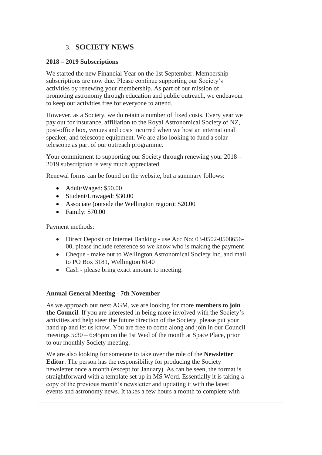## 3. **SOCIETY NEWS**

### **2018 – 2019 Subscriptions**

We started the new Financial Year on the 1st September. Membership subscriptions are now due. Please continue supporting our Society's activities by renewing your membership. As part of our mission of promoting astronomy through education and public outreach, we endeavour to keep our activities free for everyone to attend.

However, as a Society, we do retain a number of fixed costs. Every year we pay out for insurance, affiliation to the Royal Astronomical Society of NZ, post-office box, venues and costs incurred when we host an international speaker, and telescope equipment. We are also looking to fund a solar telescope as part of our outreach programme.

Your commitment to supporting our Society through renewing your 2018 – 2019 subscription is very much appreciated.

Renewal forms can be found on the website, but a summary follows:

- Adult/Waged: \$50.00
- Student/Unwaged: \$30.00
- Associate (outside the Wellington region): \$20.00
- Family: \$70.00

Payment methods:

- Direct Deposit or Internet Banking use Acc No: 03-0502-0508656-00, please include reference so we know who is making the payment
- Cheque make out to Wellington Astronomical Society Inc. and mail to PO Box 3181, Wellington 6140
- Cash please bring exact amount to meeting.

## **Annual General Meeting - 7th November**

As we approach our next AGM, we are looking for more **members to join the Council**. If you are interested in being more involved with the Society's activities and help steer the future direction of the Society, please put your hand up and let us know. You are free to come along and join in our Council meetings 5:30 – 6:45pm on the 1st Wed of the month at Space Place, prior to our monthly Society meeting.

We are also looking for someone to take over the role of the **Newsletter Editor**. The person has the responsibility for producing the Society newsletter once a month (except for January). As can be seen, the format is straightforward with a template set up in MS Word. Essentially it is taking a copy of the previous month's newsletter and updating it with the latest events and astronomy news. It takes a few hours a month to complete with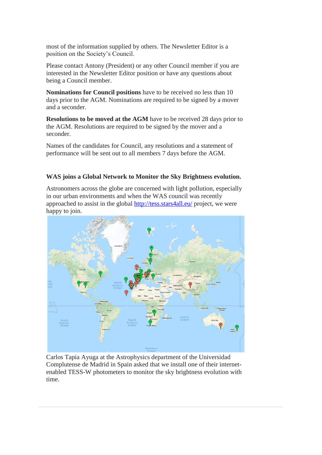most of the information supplied by others. The Newsletter Editor is a position on the Society's Council.

Please contact Antony (President) or any other Council member if you are interested in the Newsletter Editor position or have any questions about being a Council member.

**Nominations for Council positions** have to be received no less than 10 days prior to the AGM. Nominations are required to be signed by a mover and a seconder.

**Resolutions to be moved at the AGM** have to be received 28 days prior to the AGM. Resolutions are required to be signed by the mover and a seconder.

Names of the candidates for Council, any resolutions and a statement of performance will be sent out to all members 7 days before the AGM.

#### **WAS joins a Global Network to Monitor the Sky Brightness evolution.**

Astronomers across the globe are concerned with light pollution, especially in our urban environments and when the WAS council was recently approached to assist in the global<http://tess.stars4all.eu/> project, we were happy to join.



Carlos Tapia Ayuga at the Astrophysics department of the Universidad Complutense de Madrid in Spain asked that we install one of their internetenabled TESS-W photometers to monitor the sky brightness evolution with time.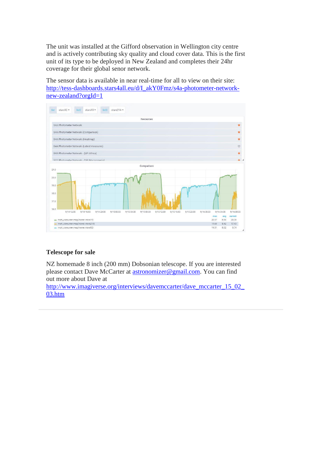The unit was installed at the Gifford observation in Wellington city centre and is actively contributing sky quality and cloud cover data. This is the first unit of its type to be deployed in New Zealand and completes their 24hr coverage for their global senor network.

The sensor data is available in near real-time for all to view on their site: [http://tess-dashboards.stars4all.eu/d/I\\_akY0Fmz/s4a-photometer-network](http://tess-dashboards.stars4all.eu/d/I_akY0Fmz/s4a-photometer-network-new-zealand?orgId=1)[new-zealand?orgId=1](http://tess-dashboards.stars4all.eu/d/I_akY0Fmz/s4a-photometer-network-new-zealand?orgId=1)



#### **Telescope for sale**

NZ homemade 8 inch (200 mm) Dobsonian telescope. If you are interested please contact Dave McCarter at **astronomizer@gmail.com**. You can find out more about Dave at

http://www.imagiverse.org/interviews/davemccarter/dave\_mccarter\_15\_02 [03.htm](http://www.imagiverse.org/interviews/davemccarter/dave_mccarter_15_02_03.htm)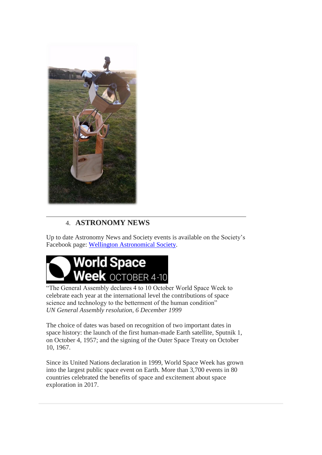

# 4. **ASTRONOMY NEWS**

Up to date Astronomy News and Society events is available on the Society's Facebook page: [Wellington Astronomical Society.](http://www.facebook.com/WellingtonAstronomicalSociety/)



"The General Assembly declares 4 to 10 October World Space Week to celebrate each year at the international level the contributions of space science and technology to the betterment of the human condition" *UN General Assembly resolution, 6 December 1999*

The choice of dates was based on recognition of two important dates in space history: the launch of the first human-made Earth satellite, Sputnik 1, on October 4, 1957; and the signing of the Outer Space Treaty on October 10, 1967.

Since its United Nations declaration in 1999, World Space Week has grown into the largest public space event on Earth. More than 3,700 events in 80 countries celebrated the benefits of space and excitement about space exploration in 2017.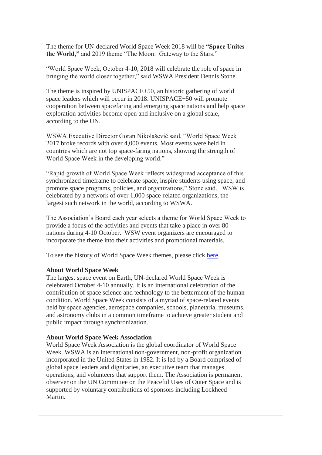The theme for UN-declared World Space Week 2018 will be **"Space Unites the World,"** and 2019 theme "The Moon: Gateway to the Stars."

"World Space Week, October 4-10, 2018 will celebrate the role of space in bringing the world closer together," said WSWA President Dennis Stone.

The theme is inspired by UNISPACE+50, an historic gathering of world space leaders which will occur in 2018. UNISPACE+50 will promote cooperation between spacefaring and emerging space nations and help space exploration activities become open and inclusive on a global scale, according to the UN.

WSWA Executive Director Goran Nikolašević said, "World Space Week 2017 broke records with over 4,000 events. Most events were held in countries which are not top space-faring nations, showing the strength of World Space Week in the developing world."

"Rapid growth of World Space Week reflects widespread acceptance of this synchronized timeframe to celebrate space, inspire students using space, and promote space programs, policies, and organizations," Stone said. WSW is celebrated by a network of over 1,000 space-related organizations, the largest such network in the world, according to WSWA.

The Association's Board each year selects a theme for World Space Week to provide a focus of the activities and events that take a place in over 80 nations during 4-10 October. WSW event organizers are encouraged to incorporate the theme into their activities and promotional materials.

To see the history of World Space Week themes, please click [here.](http://www.worldspaceweek.org/history/)

#### **About World Space Week**

The largest space event on Earth, UN-declared World Space Week is celebrated October 4-10 annually. It is an international celebration of the contribution of space science and technology to the betterment of the human condition. World Space Week consists of a myriad of space-related events held by space agencies, aerospace companies, schools, planetaria, museums, and astronomy clubs in a common timeframe to achieve greater student and public impact through synchronization.

#### **About World Space Week Association**

World Space Week Association is the global coordinator of World Space Week. WSWA is an international non-government, non-profit organization incorporated in the United States in 1982. It is led by a Board comprised of global space leaders and dignitaries, an executive team that manages operations, and volunteers that support them. The Association is permanent observer on the UN Committee on the Peaceful Uses of Outer Space and is supported by voluntary contributions of sponsors including Lockheed Martin.